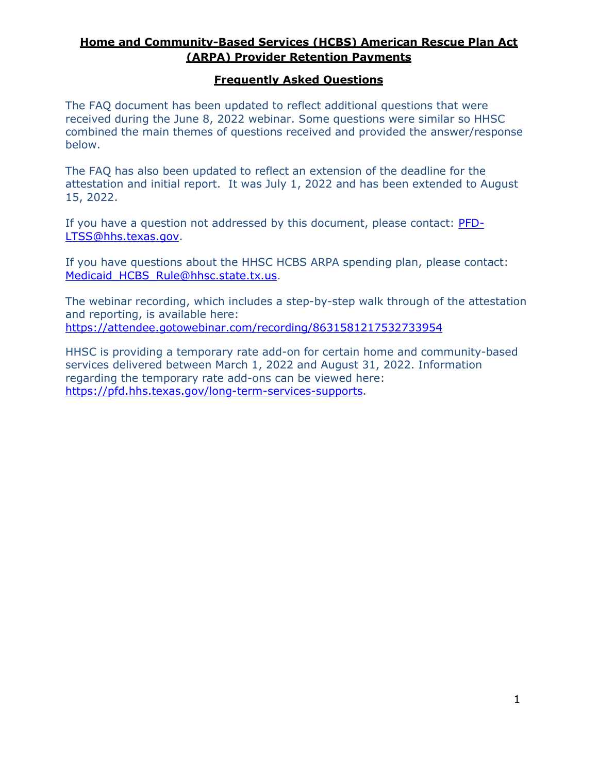#### **Frequently Asked Questions**

The FAQ document has been updated to reflect additional questions that were received during the June 8, 2022 webinar. Some questions were similar so HHSC combined the main themes of questions received and provided the answer/response below.

The FAQ has also been updated to reflect an extension of the deadline for the attestation and initial report. It was July 1, 2022 and has been extended to August 15, 2022.

If you have a question not addressed by this document, please contact: [PFD-](mailto:PFD-LTSS@hhs.texas.gov)[LTSS@hhs.texas.gov.](mailto:PFD-LTSS@hhs.texas.gov)

If you have questions about the HHSC HCBS ARPA spending plan, please contact: Medicaid HCBS Rule@hhsc.state.tx.us.

The webinar recording, which includes a step-by-step walk through of the attestation and reporting, is available here: <https://attendee.gotowebinar.com/recording/8631581217532733954>

HHSC is providing a temporary rate add-on for certain home and community-based services delivered between March 1, 2022 and August 31, 2022. Information regarding the temporary rate add-ons can be viewed here: [https://pfd.hhs.texas.gov/long-term-services-supports.](https://pfd.hhs.texas.gov/long-term-services-supports)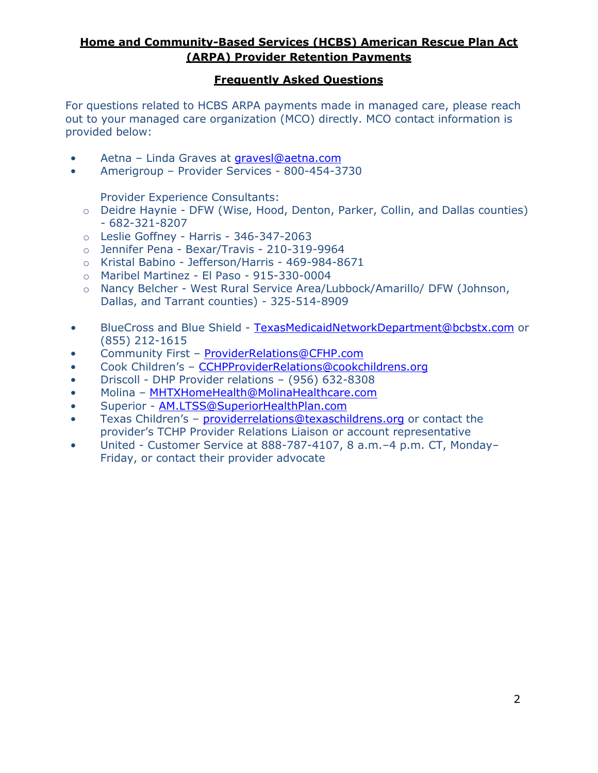#### **Frequently Asked Questions**

For questions related to HCBS ARPA payments made in managed care, please reach out to your managed care organization (MCO) directly. MCO contact information is provided below:

- Aetna Linda Graves at [gravesl@aetna.com](mailto:gravesl@aetna.com)
- Amerigroup Provider Services 800-454-3730

Provider Experience Consultants:

- o Deidre Haynie DFW (Wise, Hood, Denton, Parker, Collin, and Dallas counties) - 682-321-8207
- o Leslie Goffney Harris 346-347-2063
- o Jennifer Pena Bexar/Travis 210-319-9964
- o Kristal Babino Jefferson/Harris 469-984-8671
- o Maribel Martinez El Paso 915-330-0004
- o Nancy Belcher West Rural Service Area/Lubbock/Amarillo/ DFW (Johnson, Dallas, and Tarrant counties) - 325-514-8909
- BlueCross and Blue Shield [TexasMedicaidNetworkDepartment@bcbstx.com](mailto:TexasMedicaidNetworkDepartment@bcbstx.com) or (855) 212-1615
- Community First [ProviderRelations@CFHP.com](mailto:ProviderRelations@CFHP.com)
- Cook Children's [CCHPProviderRelations@cookchildrens.org](mailto:CCHPProviderRelations@cookchildrens.org)
- Driscoll DHP Provider relations (956) 632-8308
- Molina [MHTXHomeHealth@MolinaHealthcare.com](mailto:MHTXHomeHealth@MolinaHealthcare.com)
- Superior [AM.LTSS@SuperiorHealthPlan.com](mailto:AM.LTSS@SuperiorHealthPlan.com)
- Texas Children's [providerrelations@texaschildrens.org](mailto:providerrelations@texaschildrens.org) or contact the provider's TCHP Provider Relations Liaison or account representative
- United Customer Service at 888-787-4107, 8 a.m.–4 p.m. CT, Monday– Friday, or contact their provider advocate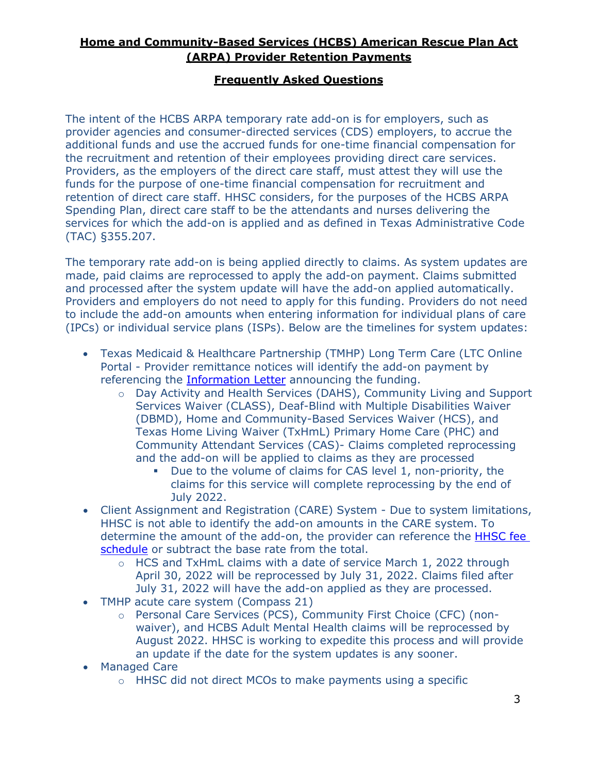#### **Frequently Asked Questions**

The intent of the HCBS ARPA temporary rate add-on is for employers, such as provider agencies and consumer-directed services (CDS) employers, to accrue the additional funds and use the accrued funds for one-time financial compensation for the recruitment and retention of their employees providing direct care services. Providers, as the employers of the direct care staff, must attest they will use the funds for the purpose of one-time financial compensation for recruitment and retention of direct care staff. HHSC considers, for the purposes of the HCBS ARPA Spending Plan, direct care staff to be the attendants and nurses delivering the services for which the add-on is applied and as defined in Texas Administrative Code (TAC) §355.207.

The temporary rate add-on is being applied directly to claims. As system updates are made, paid claims are reprocessed to apply the add-on payment. Claims submitted and processed after the system update will have the add-on applied automatically. Providers and employers do not need to apply for this funding. Providers do not need to include the add-on amounts when entering information for individual plans of care (IPCs) or individual service plans (ISPs). Below are the timelines for system updates:

- Texas Medicaid & Healthcare Partnership (TMHP) Long Term Care (LTC Online Portal - Provider remittance notices will identify the add-on payment by referencing the **Information Letter** announcing the funding.
	- o Day Activity and Health Services (DAHS), Community Living and Support Services Waiver (CLASS), Deaf-Blind with Multiple Disabilities Waiver (DBMD), Home and Community-Based Services Waiver (HCS), and Texas Home Living Waiver (TxHmL) Primary Home Care (PHC) and Community Attendant Services (CAS)- Claims completed reprocessing and the add-on will be applied to claims as they are processed
		- Due to the volume of claims for CAS level 1, non-priority, the claims for this service will complete reprocessing by the end of July 2022.
- Client Assignment and Registration (CARE) System Due to system limitations, HHSC is not able to identify the add-on amounts in the CARE system. To determine the amount of the add-on, the provider can reference the **HHSC fee** [schedule](https://pfd.hhs.texas.gov/sites/rad/files/documents/long-term-svcs/2022/2022-05-31-hcbs-arpa-temp-rate-addons-include-starplusplus-non-hcbs.pdf) or subtract the base rate from the total.
	- o HCS and TxHmL claims with a date of service March 1, 2022 through April 30, 2022 will be reprocessed by July 31, 2022. Claims filed after July 31, 2022 will have the add-on applied as they are processed.
- TMHP acute care system (Compass 21)
	- o Personal Care Services (PCS), Community First Choice (CFC) (nonwaiver), and HCBS Adult Mental Health claims will be reprocessed by August 2022. HHSC is working to expedite this process and will provide an update if the date for the system updates is any sooner.
- **Managed Care** 
	- o HHSC did not direct MCOs to make payments using a specific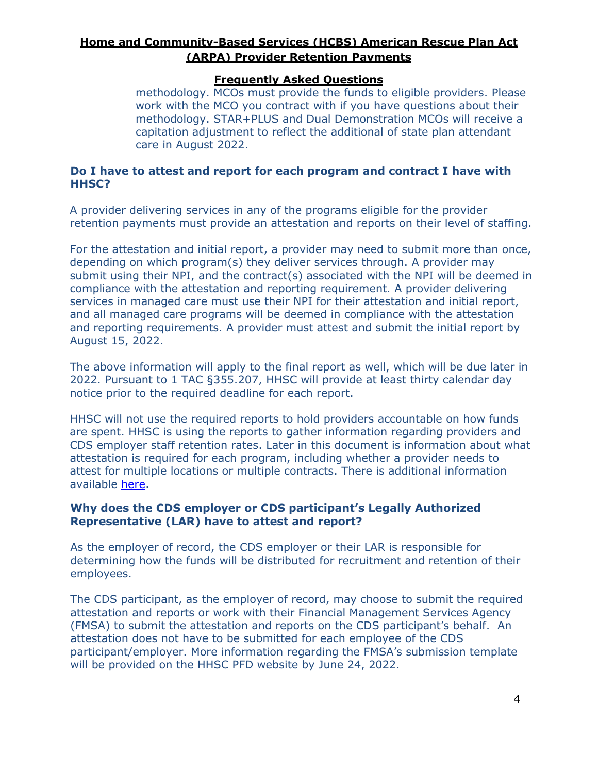#### **Frequently Asked Questions**

methodology. MCOs must provide the funds to eligible providers. Please work with the MCO you contract with if you have questions about their methodology. STAR+PLUS and Dual Demonstration MCOs will receive a capitation adjustment to reflect the additional of state plan attendant care in August 2022.

#### **Do I have to attest and report for each program and contract I have with HHSC?**

A provider delivering services in any of the programs eligible for the provider retention payments must provide an attestation and reports on their level of staffing.

For the attestation and initial report, a provider may need to submit more than once, depending on which program(s) they deliver services through. A provider may submit using their NPI, and the contract(s) associated with the NPI will be deemed in compliance with the attestation and reporting requirement. A provider delivering services in managed care must use their NPI for their attestation and initial report, and all managed care programs will be deemed in compliance with the attestation and reporting requirements. A provider must attest and submit the initial report by August 15, 2022.

The above information will apply to the final report as well, which will be due later in 2022. Pursuant to 1 TAC §355.207, HHSC will provide at least thirty calendar day notice prior to the required deadline for each report.

HHSC will not use the required reports to hold providers accountable on how funds are spent. HHSC is using the reports to gather information regarding providers and CDS employer staff retention rates. Later in this document is information about what attestation is required for each program, including whether a provider needs to attest for multiple locations or multiple contracts. There is additional information available [here.](#page-6-0)

#### **Why does the CDS employer or CDS participant's Legally Authorized Representative (LAR) have to attest and report?**

As the employer of record, the CDS employer or their LAR is responsible for determining how the funds will be distributed for recruitment and retention of their employees.

The CDS participant, as the employer of record, may choose to submit the required attestation and reports or work with their Financial Management Services Agency (FMSA) to submit the attestation and reports on the CDS participant's behalf. An attestation does not have to be submitted for each employee of the CDS participant/employer. More information regarding the FMSA's submission template will be provided on the HHSC PFD website by June 24, 2022.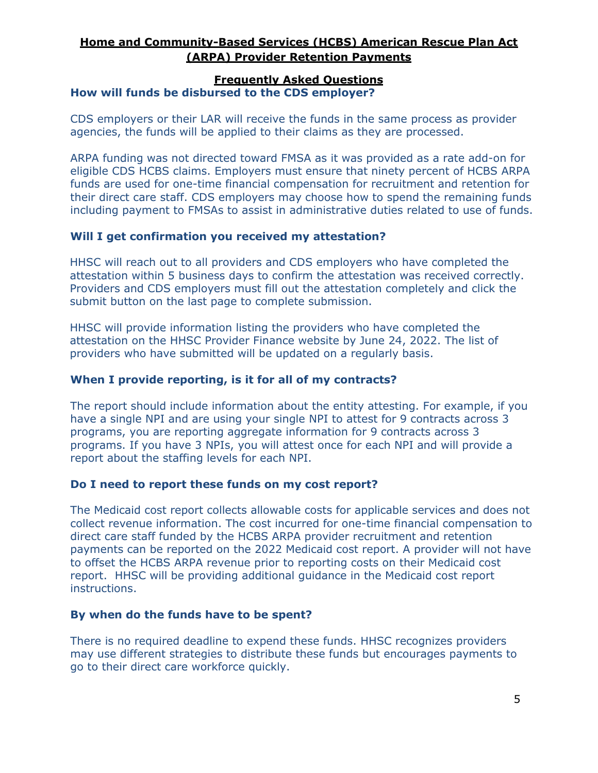#### **Frequently Asked Questions**

#### **How will funds be disbursed to the CDS employer?**

CDS employers or their LAR will receive the funds in the same process as provider agencies, the funds will be applied to their claims as they are processed.

ARPA funding was not directed toward FMSA as it was provided as a rate add-on for eligible CDS HCBS claims. Employers must ensure that ninety percent of HCBS ARPA funds are used for one-time financial compensation for recruitment and retention for their direct care staff. CDS employers may choose how to spend the remaining funds including payment to FMSAs to assist in administrative duties related to use of funds.

#### **Will I get confirmation you received my attestation?**

HHSC will reach out to all providers and CDS employers who have completed the attestation within 5 business days to confirm the attestation was received correctly. Providers and CDS employers must fill out the attestation completely and click the submit button on the last page to complete submission.

HHSC will provide information listing the providers who have completed the attestation on the HHSC Provider Finance website by June 24, 2022. The list of providers who have submitted will be updated on a regularly basis.

#### **When I provide reporting, is it for all of my contracts?**

The report should include information about the entity attesting. For example, if you have a single NPI and are using your single NPI to attest for 9 contracts across 3 programs, you are reporting aggregate information for 9 contracts across 3 programs. If you have 3 NPIs, you will attest once for each NPI and will provide a report about the staffing levels for each NPI.

#### **Do I need to report these funds on my cost report?**

The Medicaid cost report collects allowable costs for applicable services and does not collect revenue information. The cost incurred for one-time financial compensation to direct care staff funded by the HCBS ARPA provider recruitment and retention payments can be reported on the 2022 Medicaid cost report. A provider will not have to offset the HCBS ARPA revenue prior to reporting costs on their Medicaid cost report. HHSC will be providing additional guidance in the Medicaid cost report instructions.

#### **By when do the funds have to be spent?**

There is no required deadline to expend these funds. HHSC recognizes providers may use different strategies to distribute these funds but encourages payments to go to their direct care workforce quickly.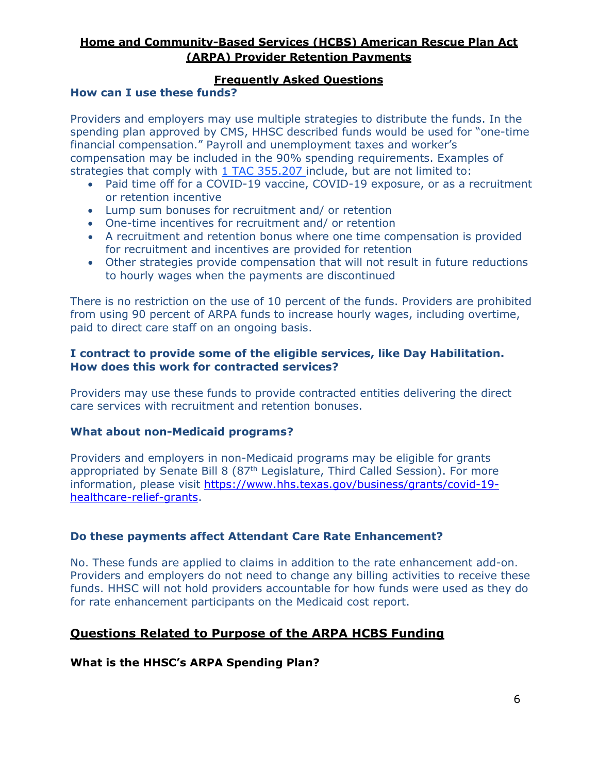#### **Frequently Asked Questions**

#### **How can I use these funds?**

Providers and employers may use multiple strategies to distribute the funds. In the spending plan approved by CMS, HHSC described funds would be used for "one-time financial compensation." Payroll and unemployment taxes and worker's compensation may be included in the 90% spending requirements. Examples of strategies that comply with  $1$  TAC 355.207 include, but are not limited to:

- Paid time off for a COVID-19 vaccine, COVID-19 exposure, or as a recruitment or retention incentive
- Lump sum bonuses for recruitment and/ or retention
- One-time incentives for recruitment and/ or retention
- A recruitment and retention bonus where one time compensation is provided for recruitment and incentives are provided for retention
- Other strategies provide compensation that will not result in future reductions to hourly wages when the payments are discontinued

There is no restriction on the use of 10 percent of the funds. Providers are prohibited from using 90 percent of ARPA funds to increase hourly wages, including overtime, paid to direct care staff on an ongoing basis.

#### **I contract to provide some of the eligible services, like Day Habilitation. How does this work for contracted services?**

Providers may use these funds to provide contracted entities delivering the direct care services with recruitment and retention bonuses.

#### **What about non-Medicaid programs?**

Providers and employers in non-Medicaid programs may be eligible for grants appropriated by Senate Bill 8 (87<sup>th</sup> Legislature, Third Called Session). For more information, please visit [https://www.hhs.texas.gov/business/grants/covid-19](https://www.hhs.texas.gov/business/grants/covid-19-healthcare-relief-grants) [healthcare-relief-grants.](https://www.hhs.texas.gov/business/grants/covid-19-healthcare-relief-grants)

#### **Do these payments affect Attendant Care Rate Enhancement?**

No. These funds are applied to claims in addition to the rate enhancement add-on. Providers and employers do not need to change any billing activities to receive these funds. HHSC will not hold providers accountable for how funds were used as they do for rate enhancement participants on the Medicaid cost report.

#### **Questions Related to Purpose of the ARPA HCBS Funding**

#### **What is the HHSC's ARPA Spending Plan?**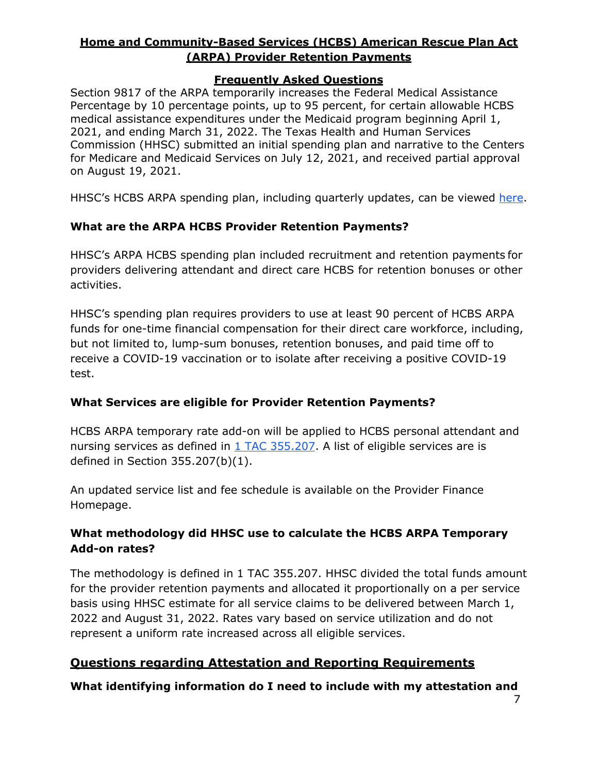#### **Frequently Asked Questions**

Section 9817 of the ARPA temporarily increases the Federal Medical Assistance Percentage by 10 percentage points, up to 95 percent, for certain allowable HCBS medical assistance expenditures under the Medicaid program beginning April 1, 2021, and ending March 31, 2022. The Texas Health and Human Services Commission (HHSC) submitted an initial spending plan and narrative to the Centers for Medicare and Medicaid Services on July 12, 2021, and received partial approval on August 19, 2021.

HHSC's HCBS ARPA spending plan, including quarterly updates, can be viewed [here.](https://www.hhs.texas.gov/providers/long-term-care-providers/long-term-care-provider-resources/home-community-based-services-hcbs)

#### **What are the ARPA HCBS Provider Retention Payments?**

HHSC's ARPA HCBS spending plan included recruitment and retention payments for providers delivering attendant and direct care HCBS for retention bonuses or other activities.

HHSC's spending plan requires providers to use at least 90 percent of HCBS ARPA funds for one-time financial compensation for their direct care workforce, including, but not limited to, lump-sum bonuses, retention bonuses, and paid time off to receive a COVID-19 vaccination or to isolate after receiving a positive COVID-19 test.

#### **What Services are eligible for Provider Retention Payments?**

HCBS ARPA temporary rate add-on will be applied to HCBS personal attendant and nursing services as defined in [1 TAC 355.207.](https://texreg.sos.state.tx.us/public/readtac%24ext.TacPage?sl=R&app=9&p_dir&p_rloc&p_tloc&p_ploc&pg=1&p_tac&ti=1&pt=15&ch=355&rl=207) A list of eligible services are is defined in Section 355.207(b)(1).

An updated service list and fee schedule is available on the Provider Finance Homepage.

### **What methodology did HHSC use to calculate the HCBS ARPA Temporary Add-on rates?**

The methodology is defined in 1 TAC 355.207. HHSC divided the total funds amount for the provider retention payments and allocated it proportionally on a per service basis using HHSC estimate for all service claims to be delivered between March 1, 2022 and August 31, 2022. Rates vary based on service utilization and do not represent a uniform rate increased across all eligible services.

# **Questions regarding Attestation and Reporting Requirements**

<span id="page-6-0"></span>**What identifying information do I need to include with my attestation and**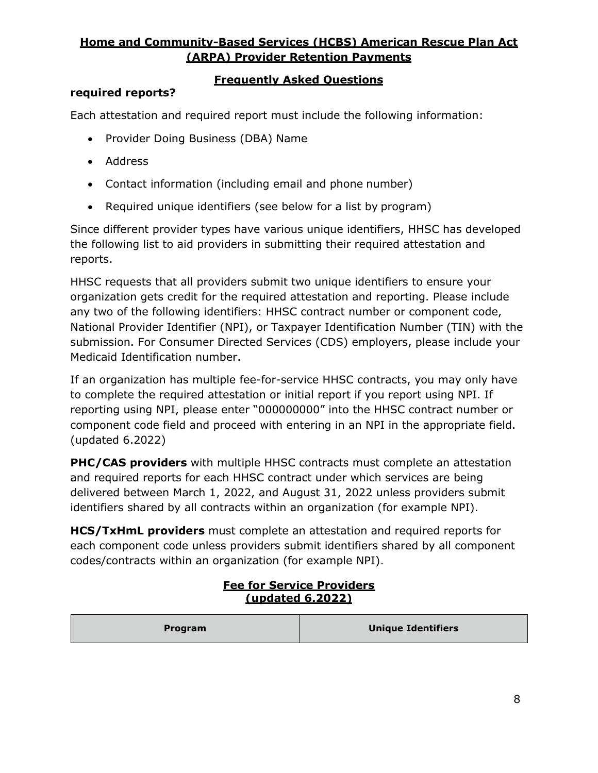#### **Frequently Asked Questions**

#### **required reports?**

Each attestation and required report must include the following information:

- Provider Doing Business (DBA) Name
- Address
- Contact information (including email and phone number)
- Required unique identifiers (see below for a list by program)

Since different provider types have various unique identifiers, HHSC has developed the following list to aid providers in submitting their required attestation and reports.

HHSC requests that all providers submit two unique identifiers to ensure your organization gets credit for the required attestation and reporting. Please include any two of the following identifiers: HHSC contract number or component code, National Provider Identifier (NPI), or Taxpayer Identification Number (TIN) with the submission. For Consumer Directed Services (CDS) employers, please include your Medicaid Identification number.

If an organization has multiple fee-for-service HHSC contracts, you may only have to complete the required attestation or initial report if you report using NPI. If reporting using NPI, please enter "000000000" into the HHSC contract number or component code field and proceed with entering in an NPI in the appropriate field. (updated 6.2022)

**PHC/CAS providers** with multiple HHSC contracts must complete an attestation and required reports for each HHSC contract under which services are being delivered between March 1, 2022, and August 31, 2022 unless providers submit identifiers shared by all contracts within an organization (for example NPI).

**HCS/TxHmL providers** must complete an attestation and required reports for each component code unless providers submit identifiers shared by all component codes/contracts within an organization (for example NPI).

#### **Fee for Service Providers (updated 6.2022)**

| <b>Program</b> | <b>Unique Identifiers</b> |
|----------------|---------------------------|
|----------------|---------------------------|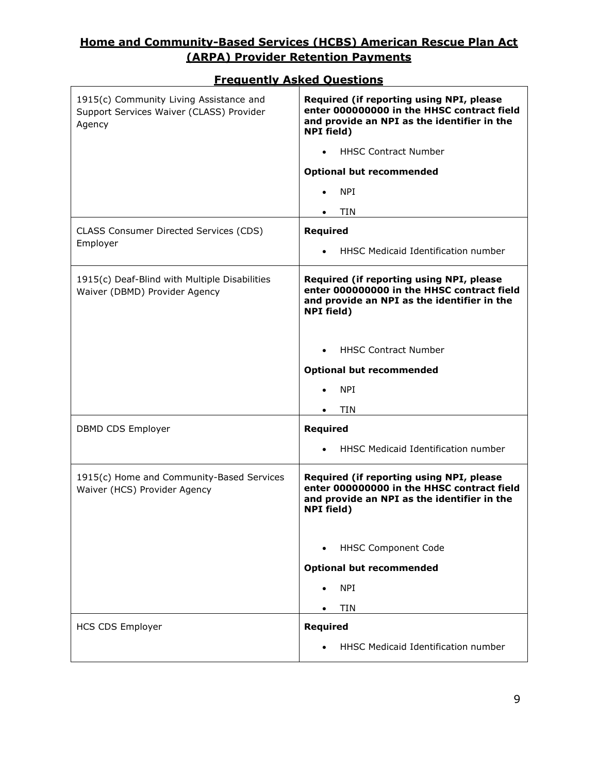| 1915(c) Community Living Assistance and<br>Support Services Waiver (CLASS) Provider<br>Agency | Required (if reporting using NPI, please<br>enter 000000000 in the HHSC contract field<br>and provide an NPI as the identifier in the<br><b>NPI</b> field) |
|-----------------------------------------------------------------------------------------------|------------------------------------------------------------------------------------------------------------------------------------------------------------|
|                                                                                               | <b>HHSC Contract Number</b>                                                                                                                                |
|                                                                                               | <b>Optional but recommended</b>                                                                                                                            |
|                                                                                               | <b>NPI</b>                                                                                                                                                 |
|                                                                                               | <b>TIN</b>                                                                                                                                                 |
| CLASS Consumer Directed Services (CDS)<br>Employer                                            | Required                                                                                                                                                   |
|                                                                                               | HHSC Medicaid Identification number                                                                                                                        |
| 1915(c) Deaf-Blind with Multiple Disabilities<br>Waiver (DBMD) Provider Agency                | Required (if reporting using NPI, please<br>enter 000000000 in the HHSC contract field<br>and provide an NPI as the identifier in the<br><b>NPI field)</b> |
|                                                                                               | <b>HHSC Contract Number</b>                                                                                                                                |
|                                                                                               | <b>Optional but recommended</b>                                                                                                                            |
|                                                                                               | <b>NPI</b>                                                                                                                                                 |
|                                                                                               | <b>TIN</b>                                                                                                                                                 |
| DBMD CDS Employer                                                                             | Required                                                                                                                                                   |
|                                                                                               | HHSC Medicaid Identification number                                                                                                                        |
| 1915(c) Home and Community-Based Services<br>Waiver (HCS) Provider Agency                     | Required (if reporting using NPI, please<br>enter 000000000 in the HHSC contract field<br>and provide an NPI as the identifier in the<br><b>NPI</b> field) |
|                                                                                               | <b>HHSC Component Code</b><br>$\bullet$                                                                                                                    |
|                                                                                               | <b>Optional but recommended</b>                                                                                                                            |
|                                                                                               | <b>NPI</b>                                                                                                                                                 |
|                                                                                               | <b>TIN</b>                                                                                                                                                 |
| <b>HCS CDS Employer</b>                                                                       | <b>Required</b>                                                                                                                                            |
|                                                                                               | HHSC Medicaid Identification number                                                                                                                        |

#### **Frequently Asked Questions**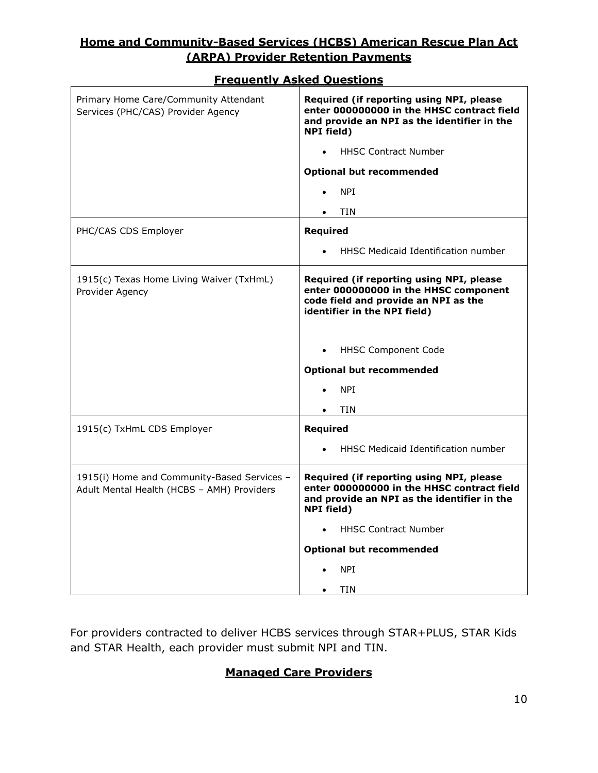| Primary Home Care/Community Attendant<br>Services (PHC/CAS) Provider Agency               | Required (if reporting using NPI, please<br>enter 000000000 in the HHSC contract field<br>and provide an NPI as the identifier in the<br><b>NPI</b> field) |
|-------------------------------------------------------------------------------------------|------------------------------------------------------------------------------------------------------------------------------------------------------------|
|                                                                                           | <b>HHSC Contract Number</b>                                                                                                                                |
|                                                                                           | <b>Optional but recommended</b>                                                                                                                            |
|                                                                                           | <b>NPI</b>                                                                                                                                                 |
|                                                                                           | <b>TIN</b>                                                                                                                                                 |
| PHC/CAS CDS Employer                                                                      | Required                                                                                                                                                   |
|                                                                                           | HHSC Medicaid Identification number                                                                                                                        |
| 1915(c) Texas Home Living Waiver (TxHmL)<br>Provider Agency                               | Required (if reporting using NPI, please<br>enter 000000000 in the HHSC component<br>code field and provide an NPI as the<br>identifier in the NPI field)  |
|                                                                                           | <b>HHSC Component Code</b>                                                                                                                                 |
|                                                                                           | <b>Optional but recommended</b>                                                                                                                            |
|                                                                                           | <b>NPI</b>                                                                                                                                                 |
|                                                                                           | <b>TIN</b>                                                                                                                                                 |
| 1915(c) TxHmL CDS Employer                                                                | Required                                                                                                                                                   |
|                                                                                           | HHSC Medicaid Identification number                                                                                                                        |
| 1915(i) Home and Community-Based Services -<br>Adult Mental Health (HCBS - AMH) Providers | Required (if reporting using NPI, please<br>enter 000000000 in the HHSC contract field<br>and provide an NPI as the identifier in the<br><b>NPI</b> field) |
|                                                                                           | <b>HHSC Contract Number</b>                                                                                                                                |
|                                                                                           | <b>Optional but recommended</b>                                                                                                                            |
|                                                                                           | <b>NPI</b>                                                                                                                                                 |
|                                                                                           | <b>TIN</b>                                                                                                                                                 |

#### **Frequently Asked Questions**

For providers contracted to deliver HCBS services through STAR+PLUS, STAR Kids and STAR Health, each provider must submit NPI and TIN.

# **Managed Care Providers**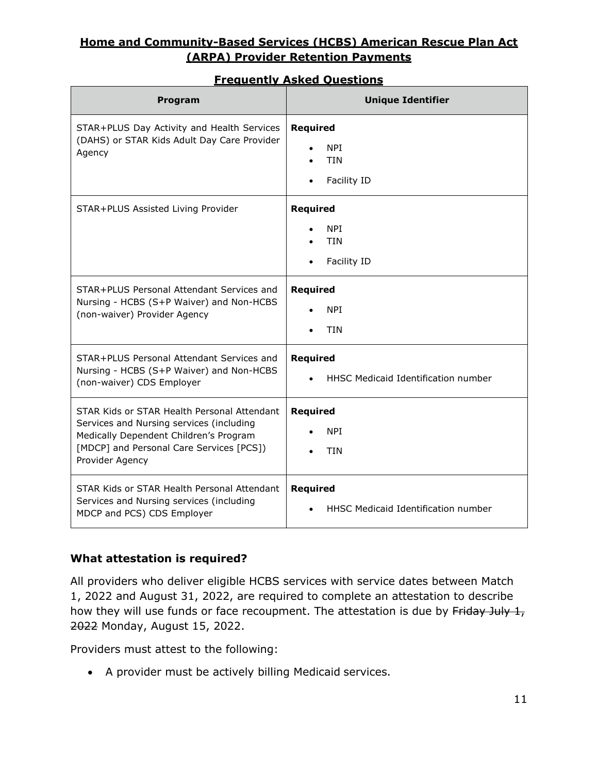| <b>Frequently Asked Ouestions</b>                                                                   |                          |
|-----------------------------------------------------------------------------------------------------|--------------------------|
| <b>Program</b>                                                                                      | <b>Unique Identifier</b> |
| STAR+PLUS Day Activity and Health Services<br>(DAHS) or STAR Kids Adult Day Care Provider<br>Agency | Required<br><b>NPT</b>   |

• Facility ID

#### STAR+PLUS Assisted Living Provider **Required** • NPI • TIN • Facility ID STAR+PLUS Personal Attendant Services and Nursing - HCBS (S+P Waiver) and Non-HCBS (non-waiver) Provider Agency **Required** • NPI • TIN STAR+PLUS Personal Attendant Services and Nursing - HCBS (S+P Waiver) and Non-HCBS (non-waiver) CDS Employer **Required** • HHSC Medicaid Identification number STAR Kids or STAR Health Personal Attendant Services and Nursing services (including Medically Dependent Children's Program [MDCP] and Personal Care Services [PCS]) Provider Agency **Required** • NPI • TIN STAR Kids or STAR Health Personal Attendant Services and Nursing services (including MDCP and PCS) CDS Employer **Required** • HHSC Medicaid Identification number

### **What attestation is required?**

All providers who deliver eligible HCBS services with service dates between Match 1, 2022 and August 31, 2022, are required to complete an attestation to describe how they will use funds or face recoupment. The attestation is due by Friday July 1, 2022 Monday, August 15, 2022.

Providers must attest to the following:

• A provider must be actively billing Medicaid services.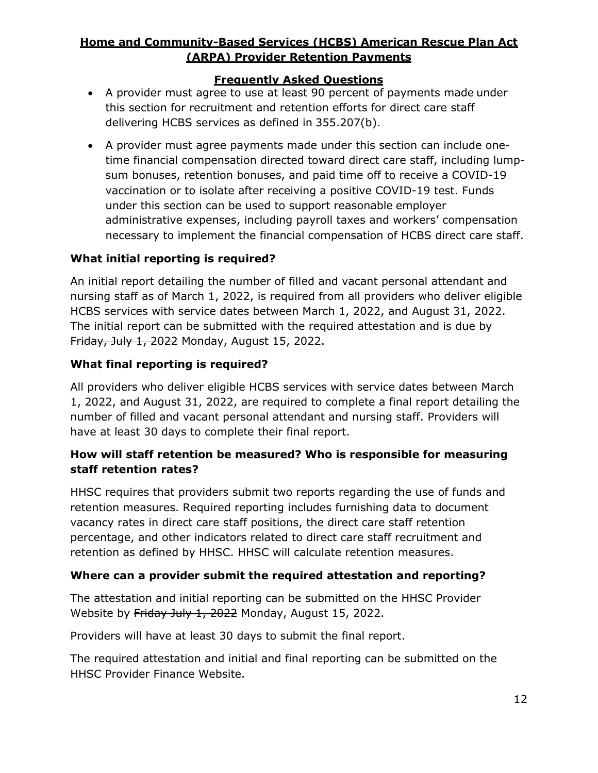#### **Frequently Asked Questions**

- A provider must agree to use at least 90 percent of payments made under this section for recruitment and retention efforts for direct care staff delivering HCBS services as defined in 355.207(b).
- A provider must agree payments made under this section can include onetime financial compensation directed toward direct care staff, including lumpsum bonuses, retention bonuses, and paid time off to receive a COVID-19 vaccination or to isolate after receiving a positive COVID-19 test. Funds under this section can be used to support reasonable employer administrative expenses, including payroll taxes and workers' compensation necessary to implement the financial compensation of HCBS direct care staff.

### **What initial reporting is required?**

An initial report detailing the number of filled and vacant personal attendant and nursing staff as of March 1, 2022, is required from all providers who deliver eligible HCBS services with service dates between March 1, 2022, and August 31, 2022. The initial report can be submitted with the required attestation and is due by Friday, July 1, 2022 Monday, August 15, 2022.

### **What final reporting is required?**

All providers who deliver eligible HCBS services with service dates between March 1, 2022, and August 31, 2022, are required to complete a final report detailing the number of filled and vacant personal attendant and nursing staff. Providers will have at least 30 days to complete their final report.

# **How will staff retention be measured? Who is responsible for measuring staff retention rates?**

HHSC requires that providers submit two reports regarding the use of funds and retention measures. Required reporting includes furnishing data to document vacancy rates in direct care staff positions, the direct care staff retention percentage, and other indicators related to direct care staff recruitment and retention as defined by HHSC. HHSC will calculate retention measures.

### **Where can a provider submit the required attestation and reporting?**

The attestation and initial reporting can be submitted on the HHSC Provider Website by Friday July 1, 2022 Monday, August 15, 2022.

Providers will have at least 30 days to submit the final report.

The required attestation and initial and final reporting can be submitted on the HHSC Provider Finance Website.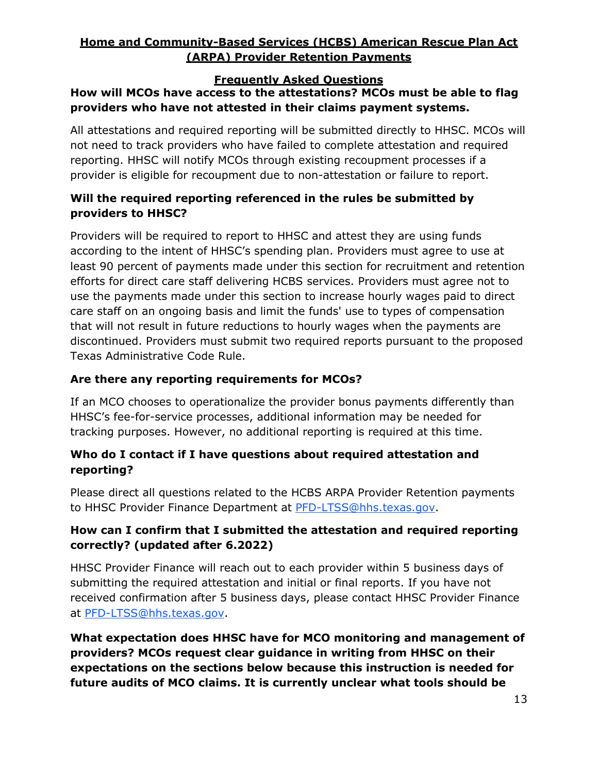#### **Frequently Asked Questions**

# **How will MCOs have access to the attestations? MCOs must be able to flag providers who have not attested in their claims payment systems.**

All attestations and required reporting will be submitted directly to HHSC. MCOs will not need to track providers who have failed to complete attestation and required reporting. HHSC will notify MCOs through existing recoupment processes if a provider is eligible for recoupment due to non-attestation or failure to report.

# **Will the required reporting referenced in the rules be submitted by providers to HHSC?**

Providers will be required to report to HHSC and attest they are using funds according to the intent of HHSC's spending plan. Providers must agree to use at least 90 percent of payments made under this section for recruitment and retention efforts for direct care staff delivering HCBS services. Providers must agree not to use the payments made under this section to increase hourly wages paid to direct care staff on an ongoing basis and limit the funds' use to types of compensation that will not result in future reductions to hourly wages when the payments are discontinued. Providers must submit two required reports pursuant to the proposed Texas Administrative Code Rule.

### **Are there any reporting requirements for MCOs?**

If an MCO chooses to operationalize the provider bonus payments differently than HHSC's fee-for-service processes, additional information may be needed for tracking purposes. However, no additional reporting is required at this time.

# **Who do I contact if I have questions about required attestation and reporting?**

Please direct all questions related to the HCBS ARPA Provider Retention payments to HHSC Provider Finance Department at [PFD-LTSS@hhs.texas.gov.](mailto:PFD-LTSS@hhs.texas.gov)

# **How can I confirm that I submitted the attestation and required reporting correctly? (updated after 6.2022)**

HHSC Provider Finance will reach out to each provider within 5 business days of submitting the required attestation and initial or final reports. If you have not received confirmation after 5 business days, please contact HHSC Provider Finance at [PFD-LTSS@hhs.texas.gov.](https://txhhs.sharepoint.com/sites/hhsc/fs/ra/ltss/DEA_Rule/InProgress_21RXXX_%20HCBS%20ARP/2.%20Proposed%20Packet/Background/PFD-LTSS%40hhs.texas.gov)

**What expectation does HHSC have for MCO monitoring and management of providers? MCOs request clear guidance in writing from HHSC on their expectations on the sections below because this instruction is needed for future audits of MCO claims. It is currently unclear what tools should be**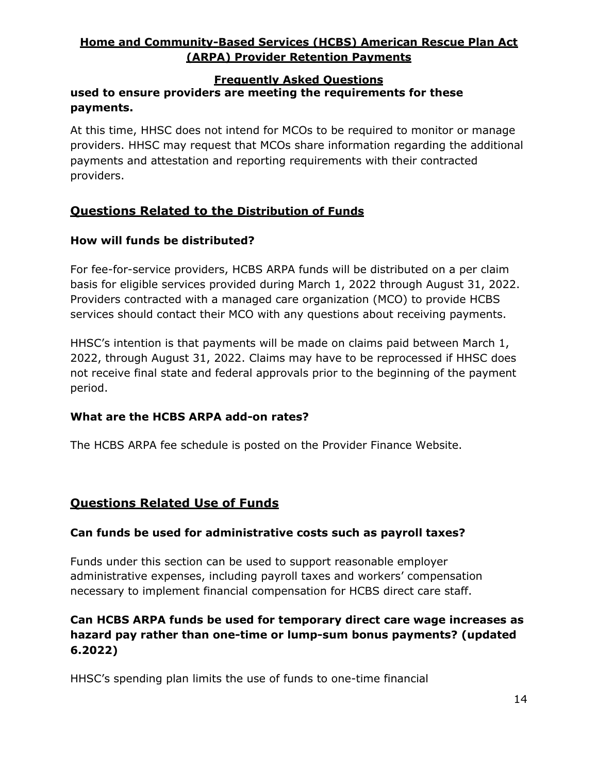#### **Frequently Asked Questions**

## **used to ensure providers are meeting the requirements for these payments.**

At this time, HHSC does not intend for MCOs to be required to monitor or manage providers. HHSC may request that MCOs share information regarding the additional payments and attestation and reporting requirements with their contracted providers.

# **Questions Related to the Distribution of Funds**

#### **How will funds be distributed?**

For fee-for-service providers, HCBS ARPA funds will be distributed on a per claim basis for eligible services provided during March 1, 2022 through August 31, 2022. Providers contracted with a managed care organization (MCO) to provide HCBS services should contact their MCO with any questions about receiving payments.

HHSC's intention is that payments will be made on claims paid between March 1, 2022, through August 31, 2022. Claims may have to be reprocessed if HHSC does not receive final state and federal approvals prior to the beginning of the payment period.

#### **What are the HCBS ARPA add-on rates?**

The HCBS ARPA fee schedule is posted on the Provider Finance Website.

### **Questions Related Use of Funds**

#### **Can funds be used for administrative costs such as payroll taxes?**

Funds under this section can be used to support reasonable employer administrative expenses, including payroll taxes and workers' compensation necessary to implement financial compensation for HCBS direct care staff.

## **Can HCBS ARPA funds be used for temporary direct care wage increases as hazard pay rather than one-time or lump-sum bonus payments? (updated 6.2022)**

HHSC's spending plan limits the use of funds to one-time financial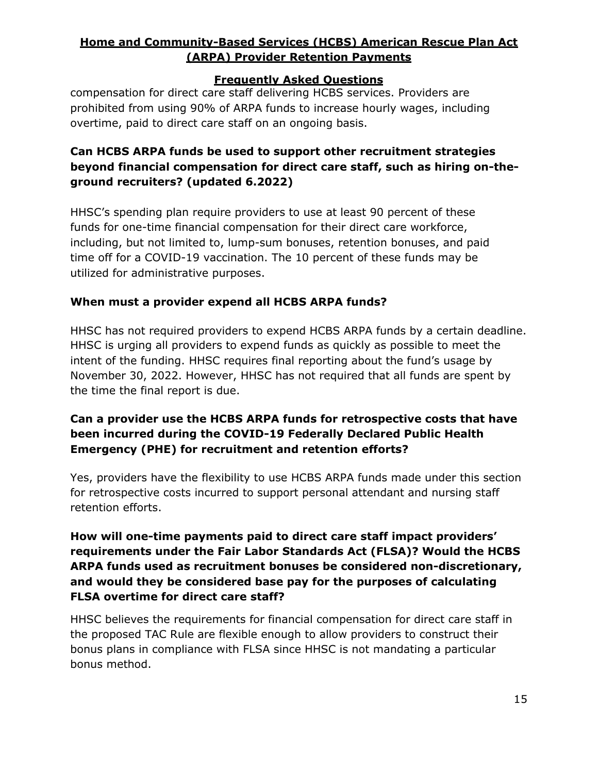#### **Frequently Asked Questions**

compensation for direct care staff delivering HCBS services. Providers are prohibited from using 90% of ARPA funds to increase hourly wages, including overtime, paid to direct care staff on an ongoing basis.

# **Can HCBS ARPA funds be used to support other recruitment strategies beyond financial compensation for direct care staff, such as hiring on-theground recruiters? (updated 6.2022)**

HHSC's spending plan require providers to use at least 90 percent of these funds for one-time financial compensation for their direct care workforce, including, but not limited to, lump-sum bonuses, retention bonuses, and paid time off for a COVID-19 vaccination. The 10 percent of these funds may be utilized for administrative purposes.

### **When must a provider expend all HCBS ARPA funds?**

HHSC has not required providers to expend HCBS ARPA funds by a certain deadline. HHSC is urging all providers to expend funds as quickly as possible to meet the intent of the funding. HHSC requires final reporting about the fund's usage by November 30, 2022. However, HHSC has not required that all funds are spent by the time the final report is due.

## **Can a provider use the HCBS ARPA funds for retrospective costs that have been incurred during the COVID-19 Federally Declared Public Health Emergency (PHE) for recruitment and retention efforts?**

Yes, providers have the flexibility to use HCBS ARPA funds made under this section for retrospective costs incurred to support personal attendant and nursing staff retention efforts.

## **How will one-time payments paid to direct care staff impact providers' requirements under the Fair Labor Standards Act (FLSA)? Would the HCBS ARPA funds used as recruitment bonuses be considered non-discretionary, and would they be considered base pay for the purposes of calculating FLSA overtime for direct care staff?**

HHSC believes the requirements for financial compensation for direct care staff in the proposed TAC Rule are flexible enough to allow providers to construct their bonus plans in compliance with FLSA since HHSC is not mandating a particular bonus method.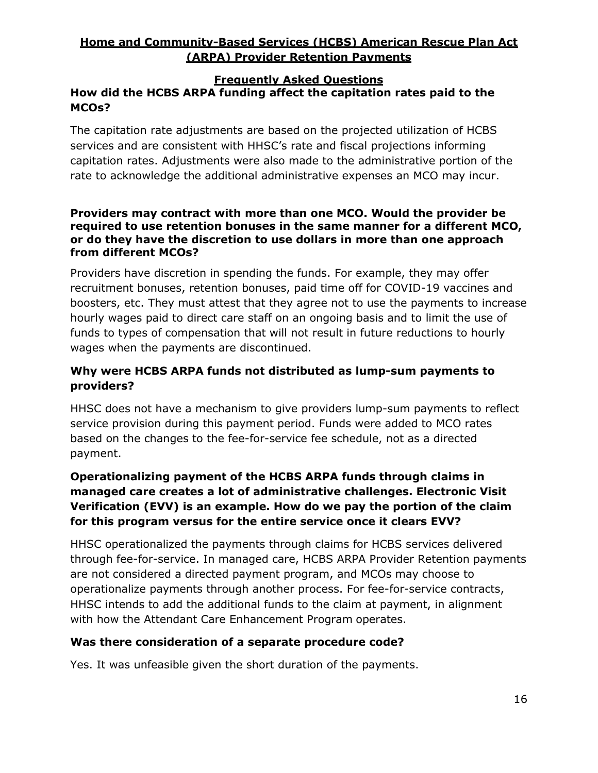#### **Frequently Asked Questions**

# **How did the HCBS ARPA funding affect the capitation rates paid to the MCOs?**

The capitation rate adjustments are based on the projected utilization of HCBS services and are consistent with HHSC's rate and fiscal projections informing capitation rates. Adjustments were also made to the administrative portion of the rate to acknowledge the additional administrative expenses an MCO may incur.

#### **Providers may contract with more than one MCO. Would the provider be required to use retention bonuses in the same manner for a different MCO, or do they have the discretion to use dollars in more than one approach from different MCOs?**

Providers have discretion in spending the funds. For example, they may offer recruitment bonuses, retention bonuses, paid time off for COVID-19 vaccines and boosters, etc. They must attest that they agree not to use the payments to increase hourly wages paid to direct care staff on an ongoing basis and to limit the use of funds to types of compensation that will not result in future reductions to hourly wages when the payments are discontinued.

# **Why were HCBS ARPA funds not distributed as lump-sum payments to providers?**

HHSC does not have a mechanism to give providers lump-sum payments to reflect service provision during this payment period. Funds were added to MCO rates based on the changes to the fee-for-service fee schedule, not as a directed payment.

# **Operationalizing payment of the HCBS ARPA funds through claims in managed care creates a lot of administrative challenges. Electronic Visit Verification (EVV) is an example. How do we pay the portion of the claim for this program versus for the entire service once it clears EVV?**

HHSC operationalized the payments through claims for HCBS services delivered through fee-for-service. In managed care, HCBS ARPA Provider Retention payments are not considered a directed payment program, and MCOs may choose to operationalize payments through another process. For fee-for-service contracts, HHSC intends to add the additional funds to the claim at payment, in alignment with how the Attendant Care Enhancement Program operates.

### **Was there consideration of a separate procedure code?**

Yes. It was unfeasible given the short duration of the payments.